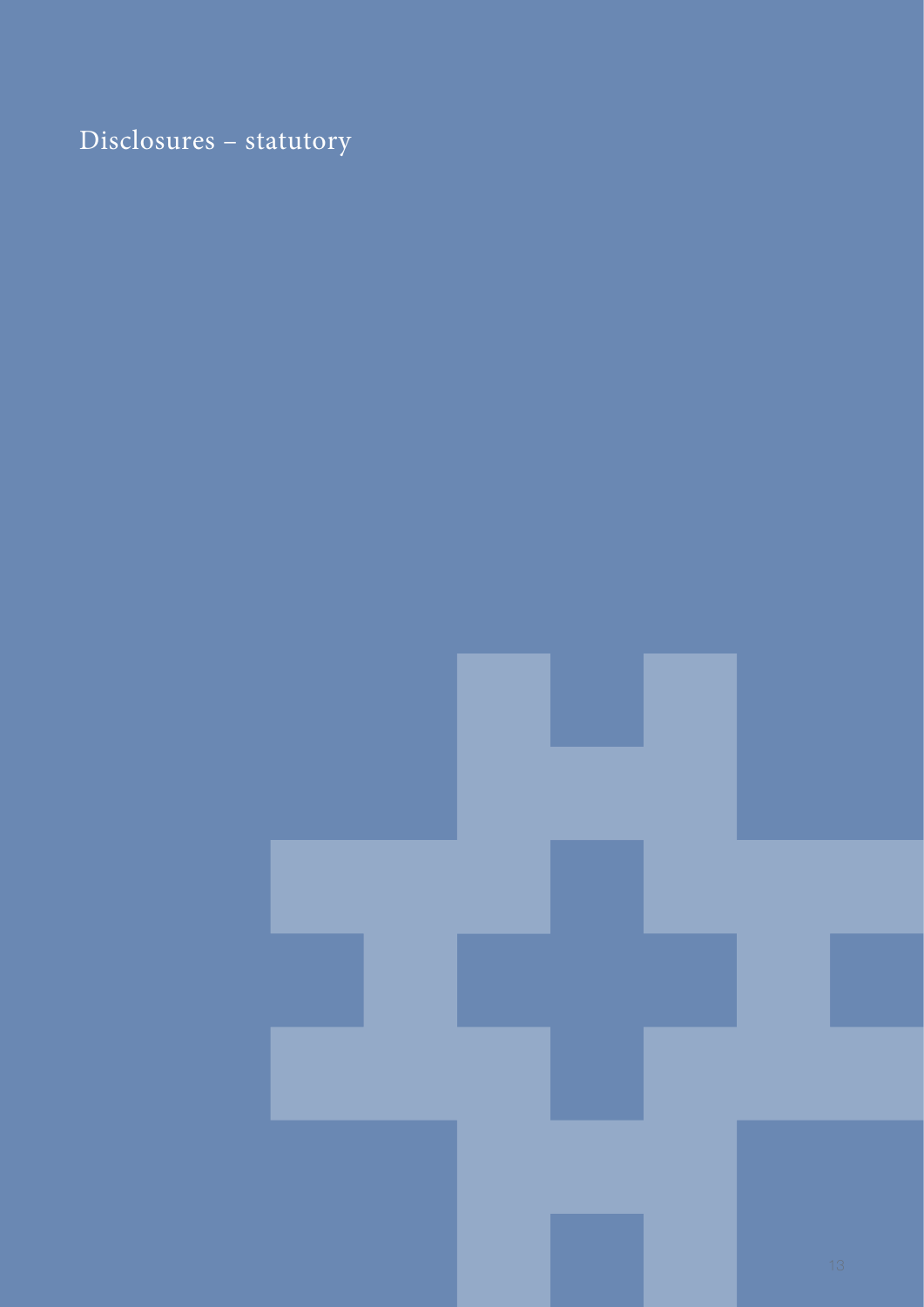# <span id="page-0-2"></span><span id="page-0-1"></span><span id="page-0-0"></span>Disclosures – statutory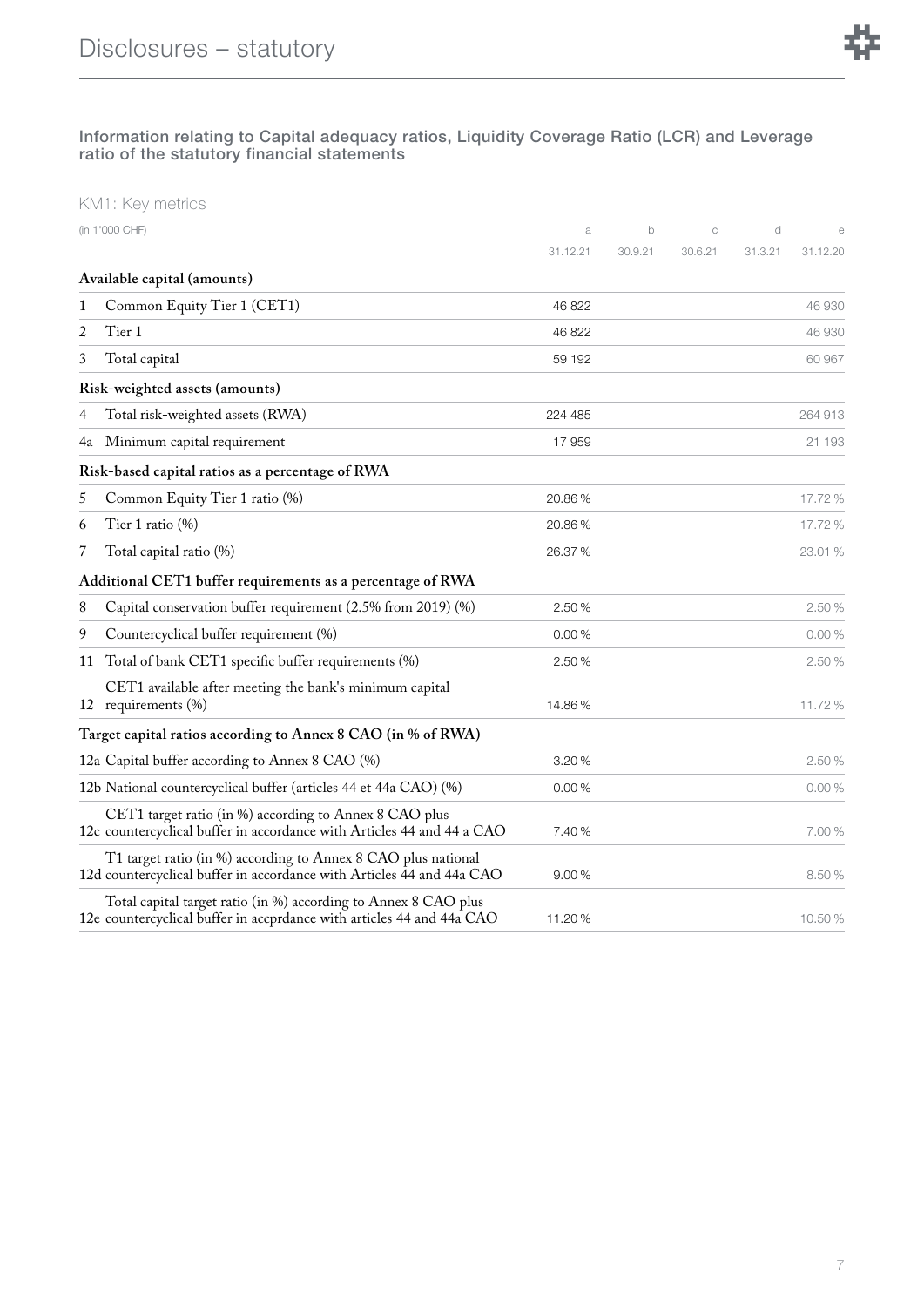

#### Information relating to Capital adequacy ratios, Liquidity Coverage Ratio (LCR) and Leverage ratio of the statutory financial statements

|    | (in 1'000 CHF)                                                                                                                           | a        | $\mathsf{b}$ | C       | d       | $\epsilon$ |
|----|------------------------------------------------------------------------------------------------------------------------------------------|----------|--------------|---------|---------|------------|
|    |                                                                                                                                          | 31.12.21 | 30.9.21      | 30.6.21 | 31.3.21 | 31.12.20   |
|    | Available capital (amounts)                                                                                                              |          |              |         |         |            |
| 1  | Common Equity Tier 1 (CET1)                                                                                                              | 46 822   |              |         |         | 46 930     |
| 2  | Tier 1                                                                                                                                   | 46 822   |              |         |         | 46 930     |
| 3  | Total capital                                                                                                                            | 59 192   |              |         |         | 60 967     |
|    | Risk-weighted assets (amounts)                                                                                                           |          |              |         |         |            |
| 4  | Total risk-weighted assets (RWA)                                                                                                         | 224 485  |              |         |         | 264 913    |
| 4a | Minimum capital requirement                                                                                                              | 17 959   |              |         |         | 21 193     |
|    | Risk-based capital ratios as a percentage of RWA                                                                                         |          |              |         |         |            |
| 5  | Common Equity Tier 1 ratio (%)                                                                                                           | 20.86%   |              |         |         | 17.72 %    |
| 6  | Tier 1 ratio $(\%)$                                                                                                                      | 20.86%   |              |         |         | 17.72 %    |
| 7  | Total capital ratio (%)                                                                                                                  | 26.37 %  |              |         |         | 23.01 %    |
|    | Additional CET1 buffer requirements as a percentage of RWA                                                                               |          |              |         |         |            |
| 8  | Capital conservation buffer requirement (2.5% from 2019) (%)                                                                             | 2.50%    |              |         |         | 2.50%      |
| 9  | Countercyclical buffer requirement (%)                                                                                                   | 0.00%    |              |         |         | 0.00%      |
| 11 | Total of bank CET1 specific buffer requirements (%)                                                                                      | 2.50 %   |              |         |         | 2.50%      |
|    | CET1 available after meeting the bank's minimum capital<br>12 requirements (%)                                                           | 14.86%   |              |         |         | 11.72%     |
|    | Target capital ratios according to Annex 8 CAO (in % of RWA)                                                                             |          |              |         |         |            |
|    | 12a Capital buffer according to Annex 8 CAO (%)                                                                                          | 3.20%    |              |         |         | 2.50%      |
|    | 12b National countercyclical buffer (articles 44 et 44a CAO) (%)                                                                         | 0.00%    |              |         |         | 0.00%      |
|    | CET1 target ratio (in %) according to Annex 8 CAO plus<br>12c countercyclical buffer in accordance with Articles 44 and 44 a CAO         | 7.40 %   |              |         |         | 7.00%      |
|    | T1 target ratio (in %) according to Annex 8 CAO plus national<br>12d countercyclical buffer in accordance with Articles 44 and 44a CAO   | 9.00%    |              |         |         | 8.50%      |
|    | Total capital target ratio (in %) according to Annex 8 CAO plus<br>12e countercyclical buffer in accprdance with articles 44 and 44a CAO | 11.20%   |              |         |         | 10.50%     |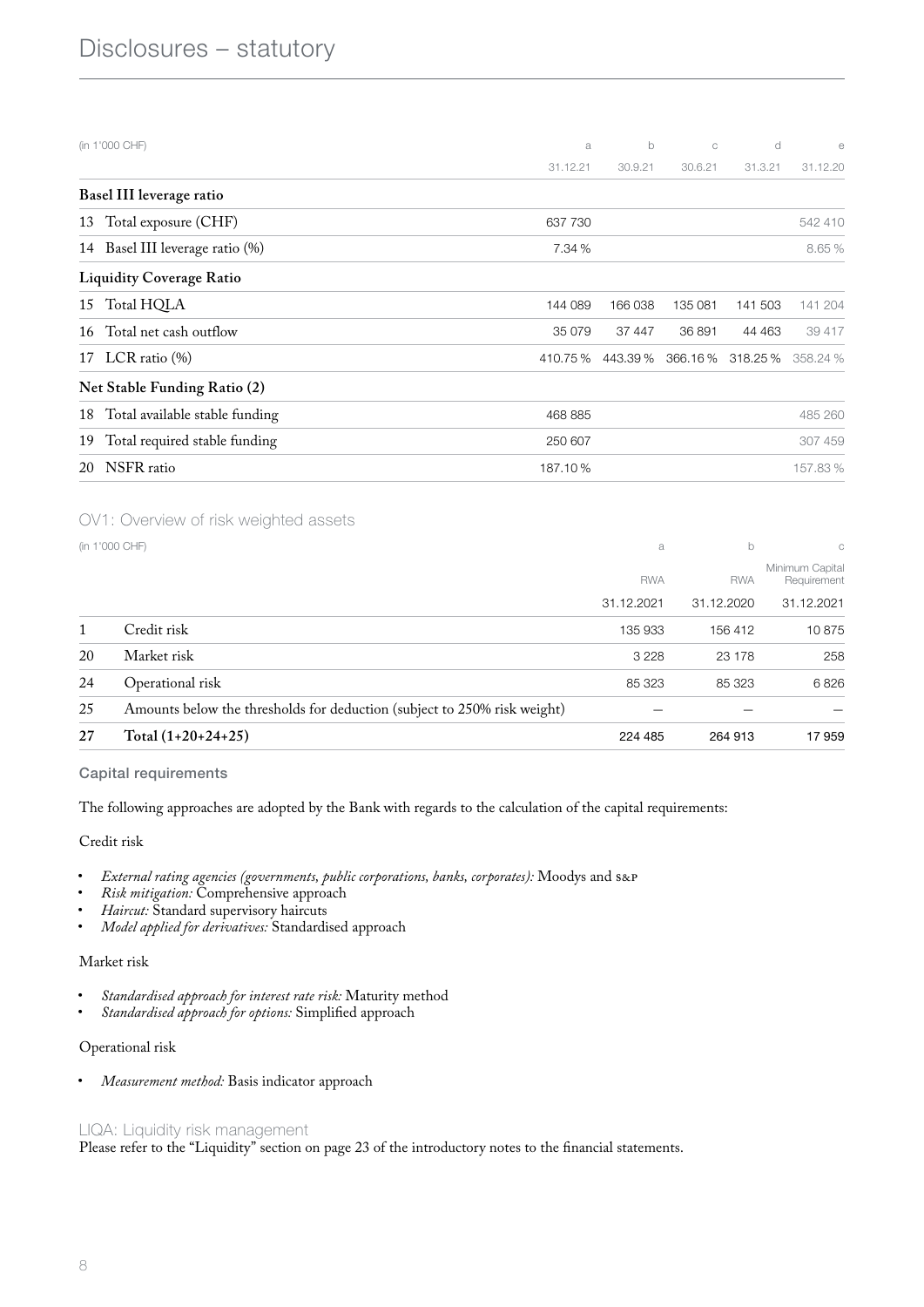| (in 1'000 CHF)                      | a        | $\mathsf{b}$ | $\mathbf C$ | d                 | $\epsilon$ |
|-------------------------------------|----------|--------------|-------------|-------------------|------------|
|                                     | 31.12.21 | 30.9.21      | 30.6.21     | 31.3.21           | 31.12.20   |
| Basel III leverage ratio            |          |              |             |                   |            |
| Total exposure (CHF)<br>13          | 637 730  |              |             |                   | 542 410    |
| 14 Basel III leverage ratio (%)     | 7.34 %   |              |             |                   | 8.65 %     |
| <b>Liquidity Coverage Ratio</b>     |          |              |             |                   |            |
| 15 Total HQLA                       | 144 089  | 166 038      | 135 081     | 141 503           | 141 204    |
| Total net cash outflow<br>16        | 35 079   | 37 447       | 36 891      | 44 4 63           | 39 417     |
| 17 LCR ratio (%)                    | 410.75%  | 443.39 %     |             | 366.16 % 318.25 % | 358.24 %   |
| Net Stable Funding Ratio (2)        |          |              |             |                   |            |
| 18 Total available stable funding   | 468 885  |              |             |                   | 485 260    |
| Total required stable funding<br>19 | 250 607  |              |             |                   | 307 459    |
| NSFR ratio<br>20                    | 187.10%  |              |             |                   | 157.83%    |

#### OV1: Overview of risk weighted assets

|  | (in 1'000 CHF) |
|--|----------------|
|  |                |

| 27 | Total $(1+20+24+25)$                                                     | 224 485    | 264 913    | 17959                          |
|----|--------------------------------------------------------------------------|------------|------------|--------------------------------|
| 25 | Amounts below the thresholds for deduction (subject to 250% risk weight) |            |            |                                |
| 24 | Operational risk                                                         | 85 323     | 85 323     | 6826                           |
| 20 | Market risk                                                              | 3 2 2 8    | 23 178     | 258                            |
| 1  | Credit risk                                                              | 135 933    | 156 412    | 10875                          |
|    |                                                                          | 31.12.2021 | 31.12.2020 | 31.12.2021                     |
|    |                                                                          | <b>RWA</b> | <b>RWA</b> | Minimum Capital<br>Requirement |
|    | (in 1'000 CHF)                                                           | a          | b          | C                              |

#### Capital requirements

The following approaches are adopted by the Bank with regards to the calculation of the capital requirements:

#### Credit risk

- *External rating agencies (governments, public corporations, banks, corporates):* Moodys and S&P
- *Risk mitigation:* Comprehensive approach
- *Haircut:* Standard supervisory haircuts
- *Model applied for derivatives:* Standardised approach

#### Market risk

- *Standardised approach for interest rate risk:* Maturity method
- *Standardised approach for options:* Simplified approach

#### Operational risk

• *Measurement method:* Basis indicator approach

#### LIQA: Liquidity risk management

Please refer to the "Liquidity" section on page [23](#page-0-0) of the introductory notes to the financial statements.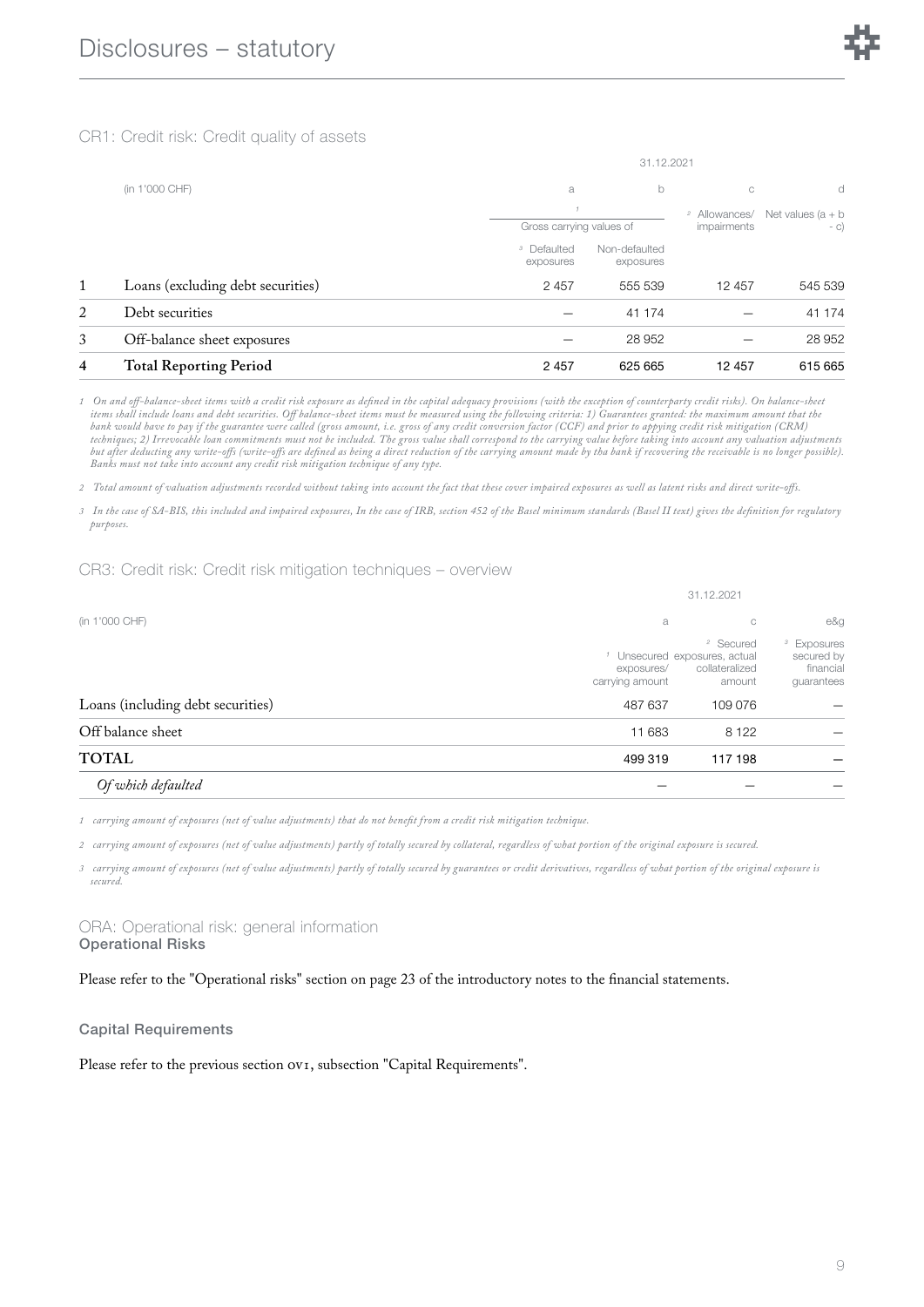CR1: Credit risk: Credit quality of assets

|   |                                   |                                     | 31.12.2021                 |                          |                      |  |
|---|-----------------------------------|-------------------------------------|----------------------------|--------------------------|----------------------|--|
|   | (in 1'000 CHF)                    | b<br>a                              |                            | C                        | d                    |  |
|   |                                   |                                     |                            | <sup>2</sup> Allowances/ | Net values $(a + b)$ |  |
|   |                                   | Gross carrying values of            |                            | impairments              | $- C$                |  |
|   |                                   | <sup>3</sup> Defaulted<br>exposures | Non-defaulted<br>exposures |                          |                      |  |
| 1 | Loans (excluding debt securities) | 2 4 5 7                             | 555 539                    | 12 457                   | 545 539              |  |
| 2 | Debt securities                   |                                     | 41 174                     |                          | 41 174               |  |
| 3 | Off-balance sheet exposures       |                                     | 28 952                     |                          | 28 952               |  |
| 4 | <b>Total Reporting Period</b>     | 2 4 5 7                             | 625 665                    | 12 457                   | 615 665              |  |

*1 On and o!-balance-sheet items with a credit risk exposure as defined in the capital adequacy provisions (with the exception of counterparty credit risks). On balance-sheet items shall include loans and debt securities. O! balance-sheet items must be measured using the following criteria: 1) Guarantees granted: the maximum amount that the bank would have to pay if the guarantee were called (gross amount, i.e. gross of any credit conversion factor (CCF) and prior to appying credit risk mitigation (CRM) techniques; 2) Irrevocable loan commitments must not be included. The gross value shall correspond to the carrying value before taking into account any valuation adjustments but after deducting any write-o!s (write-o!s are defined as being a direct reduction of the carrying amount made by tha bank if recovering the receivable is no longer possible). Banks must not take into account any credit risk mitigation technique of any type.*

*2 Total amount of valuation adjustments recorded without taking into account the fact that these cover impaired exposures as well as latent risks and direct write-o!s.*

*3 In the case of SA-BIS, this included and impaired exposures, In the case of IRB, section 452 of the Basel minimum standards (Basel II text) gives the definition for regulatory purposes.*

CR3: Credit risk: Credit risk mitigation techniques – overview

|                                   | 31.12.2021                               |                                                                                                         |                                                                 |  |  |  |
|-----------------------------------|------------------------------------------|---------------------------------------------------------------------------------------------------------|-----------------------------------------------------------------|--|--|--|
| (in 1'000 CHF)                    | a                                        | С                                                                                                       | e&g                                                             |  |  |  |
| Loans (including debt securities) | exposures/<br>carrying amount<br>487 637 | <sup>2</sup> Secured<br><sup>1</sup> Unsecured exposures, actual<br>collateralized<br>amount<br>109 076 | <sup>3</sup> Exposures<br>secured by<br>financial<br>guarantees |  |  |  |
|                                   |                                          |                                                                                                         |                                                                 |  |  |  |
| Off balance sheet                 | 11 683                                   | 8 1 2 2                                                                                                 |                                                                 |  |  |  |
| <b>TOTAL</b>                      | 499 319                                  | 117 198                                                                                                 |                                                                 |  |  |  |
| Of which defaulted                |                                          |                                                                                                         |                                                                 |  |  |  |

*1 carrying amount of exposures (net of value adjustments) that do not benefit from a credit risk mitigation technique.*

*2 carrying amount of exposures (net of value adjustments) partly of totally secured by collateral, regardless of what portion of the original exposure is secured.*

*3 carrying amount of exposures (net of value adjustments) partly of totally secured by guarantees or credit derivatives, regardless of what portion of the original exposure is secured.*

ORA: Operational risk: general information Operational Risks

Please refer to the "Operational risks" section on page [23](#page-0-1) of the introductory notes to the financial statements.

Capital Requirements

Please refer to the previous section  $ov<sub>I</sub>$ , subsection "Capital Requirements".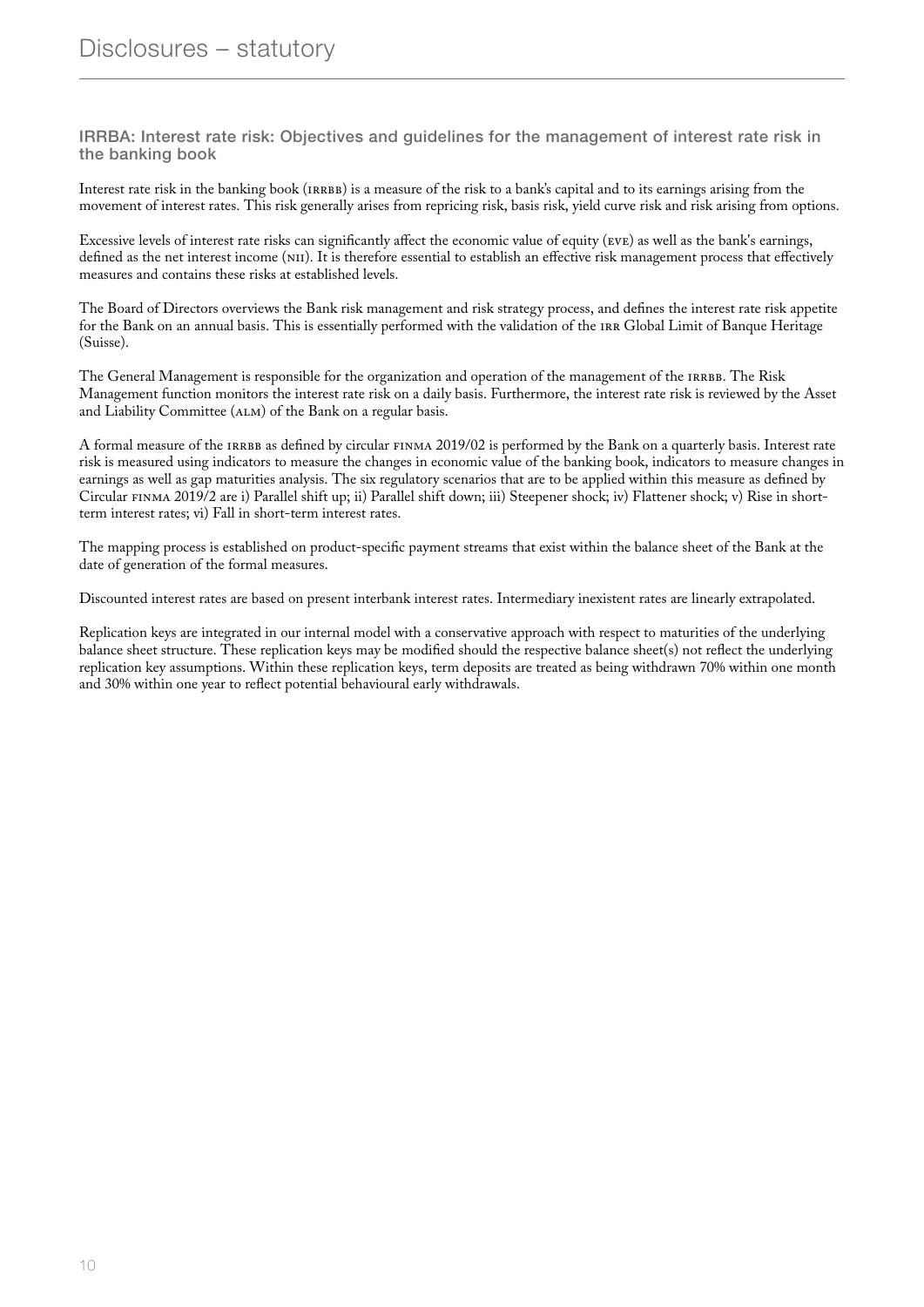IRRBA: Interest rate risk: Objectives and guidelines for the management of interest rate risk in the banking book

Interest rate risk in the banking book (IRRBB) is a measure of the risk to a bank's capital and to its earnings arising from the movement of interest rates. This risk generally arises from repricing risk, basis risk, yield curve risk and risk arising from options.

Excessive levels of interest rate risks can significantly affect the economic value of equity (EVE) as well as the bank's earnings, defined as the net interest income (NII). It is therefore essential to establish an effective risk management process that effectively measures and contains these risks at established levels.

The Board of Directors overviews the Bank risk management and risk strategy process, and defines the interest rate risk appetite for the Bank on an annual basis. This is essentially performed with the validation of the IRR Global Limit of Banque Heritage (Suisse).

The General Management is responsible for the organization and operation of the management of the IRRBB. The Risk Management function monitors the interest rate risk on a daily basis. Furthermore, the interest rate risk is reviewed by the Asset and Liability Committee (ALM) of the Bank on a regular basis.

A formal measure of the IRRBB as defined by circular FINMA 2019/02 is performed by the Bank on a quarterly basis. Interest rate risk is measured using indicators to measure the changes in economic value of the banking book, indicators to measure changes in earnings as well as gap maturities analysis. The six regulatory scenarios that are to be applied within this measure as defined by Circular FINMA 2019/2 are i) Parallel shift up; ii) Parallel shift down; iii) Steepener shock; iv) Flattener shock; v) Rise in shortterm interest rates; vi) Fall in short-term interest rates.

The mapping process is established on product-specific payment streams that exist within the balance sheet of the Bank at the date of generation of the formal measures.

Discounted interest rates are based on present interbank interest rates. Intermediary inexistent rates are linearly extrapolated.

Replication keys are integrated in our internal model with a conservative approach with respect to maturities of the underlying balance sheet structure. These replication keys may be modified should the respective balance sheet(s) not reflect the underlying replication key assumptions. Within these replication keys, term deposits are treated as being withdrawn 70% within one month and 30% within one year to reflect potential behavioural early withdrawals.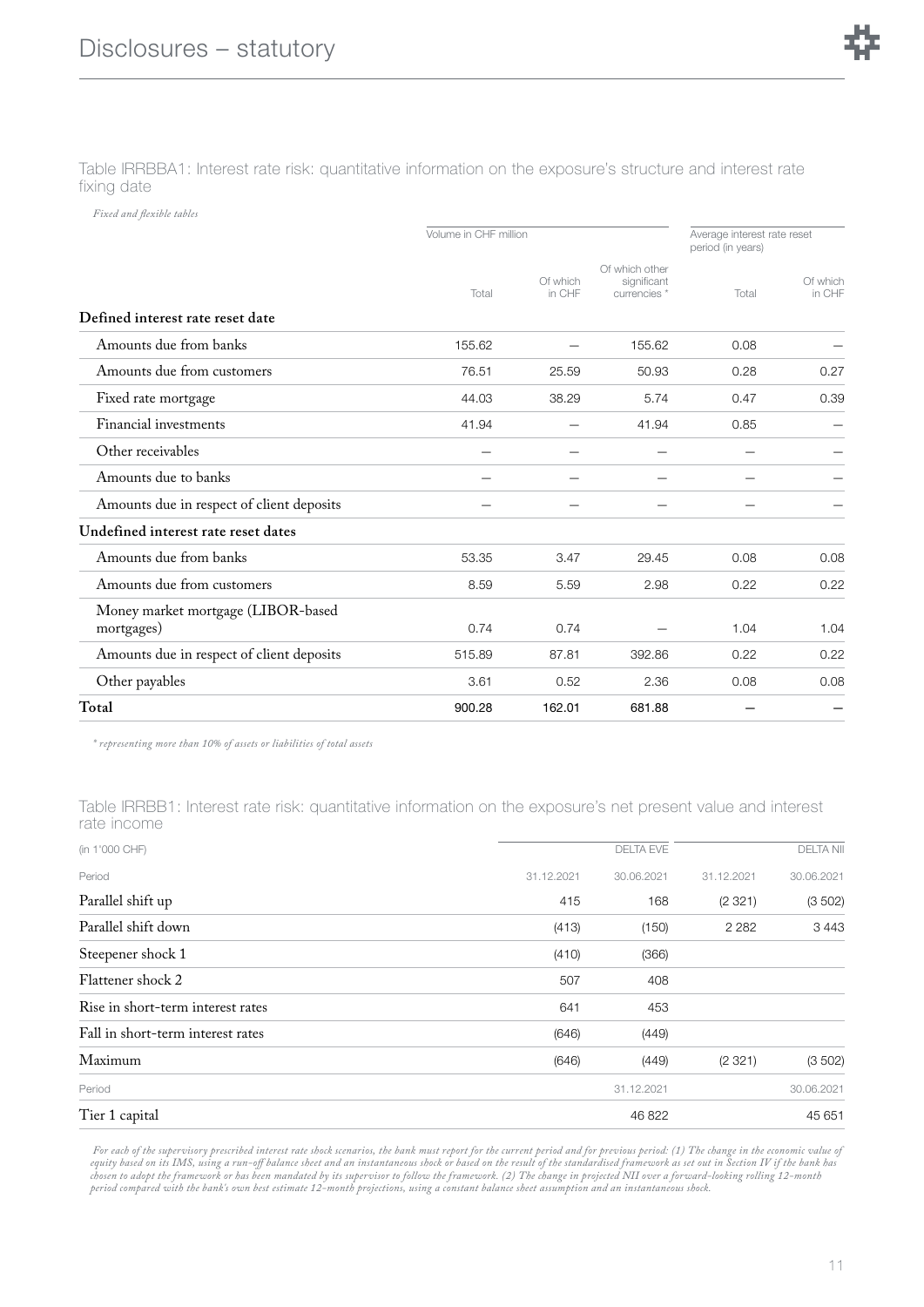Table IRRBBA1: Interest rate risk: quantitative information on the exposure's structure and interest rate fixing date

*Fixed and flexible tables*

|                                                  | Volume in CHF million |                    |                                               | Average interest rate reset<br>period (in years) |                    |
|--------------------------------------------------|-----------------------|--------------------|-----------------------------------------------|--------------------------------------------------|--------------------|
|                                                  | Total                 | Of which<br>in CHF | Of which other<br>significant<br>currencies * | Total                                            | Of which<br>in CHF |
| Defined interest rate reset date                 |                       |                    |                                               |                                                  |                    |
| Amounts due from banks                           | 155.62                |                    | 155.62                                        | 0.08                                             |                    |
| Amounts due from customers                       | 76.51                 | 25.59              | 50.93                                         | 0.28                                             | 0.27               |
| Fixed rate mortgage                              | 44.03                 | 38.29              | 5.74                                          | 0.47                                             | 0.39               |
| Financial investments                            | 41.94                 |                    | 41.94                                         | 0.85                                             |                    |
| Other receivables                                |                       |                    |                                               |                                                  |                    |
| Amounts due to banks                             |                       |                    |                                               |                                                  |                    |
| Amounts due in respect of client deposits        |                       |                    |                                               |                                                  |                    |
| Undefined interest rate reset dates              |                       |                    |                                               |                                                  |                    |
| Amounts due from banks                           | 53.35                 | 3.47               | 29.45                                         | 0.08                                             | 0.08               |
| Amounts due from customers                       | 8.59                  | 5.59               | 2.98                                          | 0.22                                             | 0.22               |
| Money market mortgage (LIBOR-based<br>mortgages) | 0.74                  | 0.74               |                                               | 1.04                                             | 1.04               |
| Amounts due in respect of client deposits        | 515.89                | 87.81              | 392.86                                        | 0.22                                             | 0.22               |
| Other payables                                   | 3.61                  | 0.52               | 2.36                                          | 0.08                                             | 0.08               |
| Total                                            | 900.28                | 162.01             | 681.88                                        |                                                  |                    |

*\* representing more than 10% of assets or liabilities of total assets*

Table IRRBB1: Interest rate risk: quantitative information on the exposure's net present value and interest rate income

| (in 1'000 CHF)                    |            | <b>DELTA EVE</b> |            | <b>DELTA NII</b> |
|-----------------------------------|------------|------------------|------------|------------------|
| Period                            | 31.12.2021 | 30.06.2021       | 31.12.2021 | 30.06.2021       |
| Parallel shift up                 | 415        | 168              | (2321)     | (3502)           |
| Parallel shift down               | (413)      | (150)            | 2 2 8 2    | 3443             |
| Steepener shock 1                 | (410)      | (366)            |            |                  |
| Flattener shock 2                 | 507        | 408              |            |                  |
| Rise in short-term interest rates | 641        | 453              |            |                  |
| Fall in short-term interest rates | (646)      | (449)            |            |                  |
| Maximum                           | (646)      | (449)            | (2321)     | (3 502)          |
| Period                            |            | 31.12.2021       |            | 30.06.2021       |
| Tier 1 capital                    |            | 46 822           |            | 45 651           |

*For each of the supervisory prescribed interest rate shock scenarios, the bank must report for the current period and for previous period: (1) The change in the economic value of equity based on its IMS, using a run-o! balance sheet and an instantaneous shock or based on the result of the standardised framework as set out in Section IV if the bank has* chosen to adopt the framework or has been mandated by its supervisor to follow the framework. (2) The change in projected NII over a forward-looking rolling 12–month<br>period compared with the bank's own best estimate 12–mon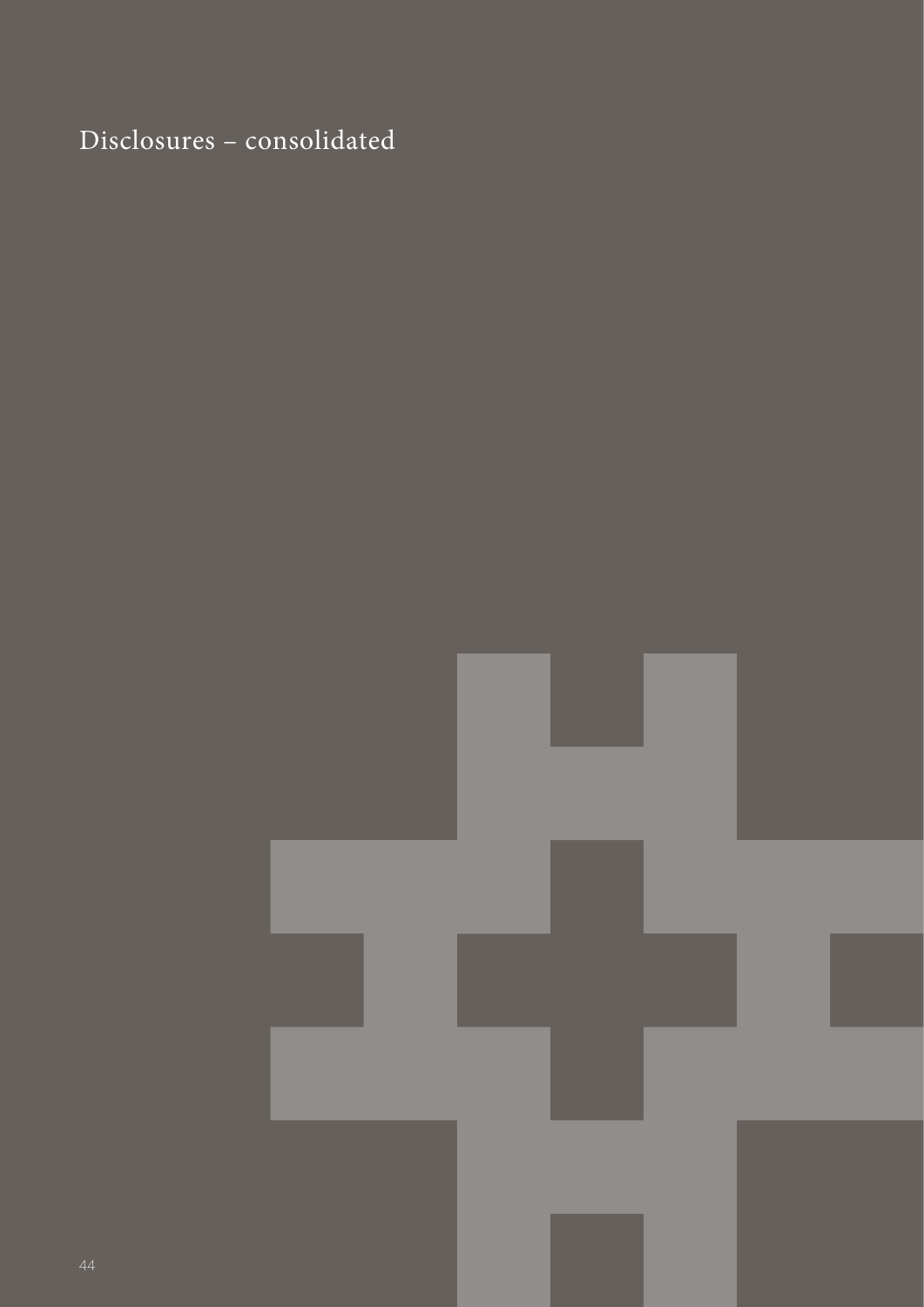## Disclosures – consolidated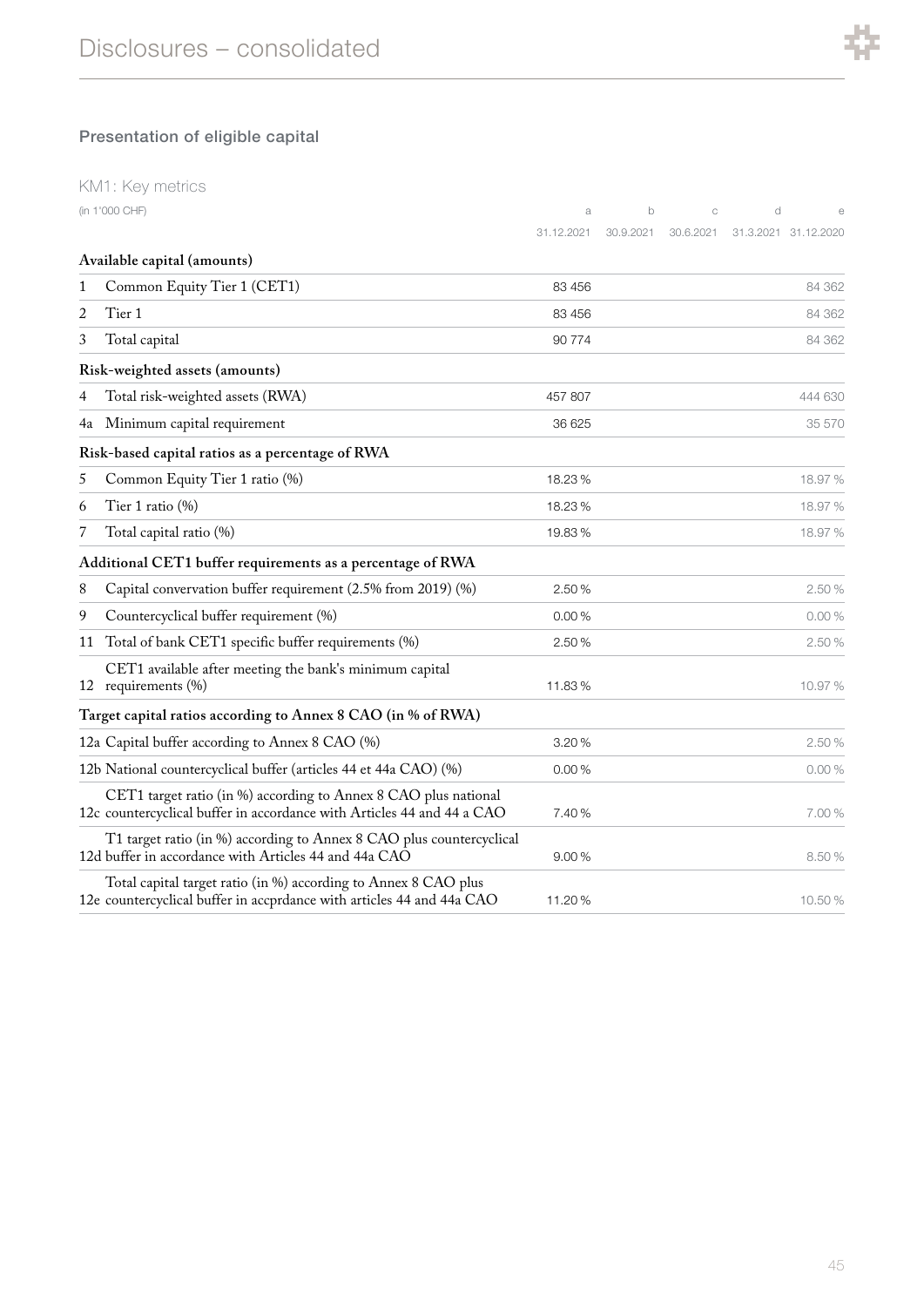

### Presentation of eligible capital

|    | KM1: Key metrics                                                                                                                          |            |           |           |   |                      |
|----|-------------------------------------------------------------------------------------------------------------------------------------------|------------|-----------|-----------|---|----------------------|
|    | (in 1'000 CHF)                                                                                                                            | a          | b         | C         | d |                      |
|    |                                                                                                                                           | 31.12.2021 | 30.9.2021 | 30.6.2021 |   | 31.3.2021 31.12.2020 |
|    | Available capital (amounts)                                                                                                               |            |           |           |   |                      |
| 1  | Common Equity Tier 1 (CET1)                                                                                                               | 83 456     |           |           |   | 84 362               |
| 2  | Tier 1                                                                                                                                    | 83 456     |           |           |   | 84 362               |
| 3  | Total capital                                                                                                                             | 90 774     |           |           |   | 84 362               |
|    | Risk-weighted assets (amounts)                                                                                                            |            |           |           |   |                      |
| 4  | Total risk-weighted assets (RWA)                                                                                                          | 457 807    |           |           |   | 444 630              |
| 4a | Minimum capital requirement                                                                                                               | 36 625     |           |           |   | 35 570               |
|    | Risk-based capital ratios as a percentage of RWA                                                                                          |            |           |           |   |                      |
| 5  | Common Equity Tier 1 ratio (%)                                                                                                            | 18.23%     |           |           |   | 18.97%               |
| 6  | Tier 1 ratio (%)                                                                                                                          | 18.23%     |           |           |   | 18.97 %              |
| 7  | Total capital ratio (%)                                                                                                                   | 19.83%     |           |           |   | 18.97%               |
|    | Additional CET1 buffer requirements as a percentage of RWA                                                                                |            |           |           |   |                      |
| 8  | Capital convervation buffer requirement (2.5% from 2019) (%)                                                                              | 2.50 %     |           |           |   | 2.50 %               |
| 9  | Countercyclical buffer requirement (%)                                                                                                    | 0.00%      |           |           |   | 0.00%                |
| 11 | Total of bank CET1 specific buffer requirements (%)                                                                                       | 2.50 %     |           |           |   | 2.50 %               |
|    | CET1 available after meeting the bank's minimum capital<br>12 requirements (%)                                                            | 11.83%     |           |           |   | 10.97%               |
|    | Target capital ratios according to Annex 8 CAO (in % of RWA)                                                                              |            |           |           |   |                      |
|    | 12a Capital buffer according to Annex 8 CAO (%)                                                                                           | 3.20%      |           |           |   | 2.50 %               |
|    | 12b National countercyclical buffer (articles 44 et 44a CAO) (%)                                                                          | 0.00%      |           |           |   | 0.00%                |
|    | CET1 target ratio (in %) according to Annex 8 CAO plus national<br>12c countercyclical buffer in accordance with Articles 44 and 44 a CAO | 7.40 %     |           |           |   | 7.00 %               |
|    | T1 target ratio (in %) according to Annex 8 CAO plus countercyclical<br>12d buffer in accordance with Articles 44 and 44a CAO             | 9.00%      |           |           |   | 8.50%                |
|    | Total capital target ratio (in %) according to Annex 8 CAO plus<br>12e countercyclical buffer in accprdance with articles 44 and 44a CAO  | 11.20%     |           |           |   | 10.50%               |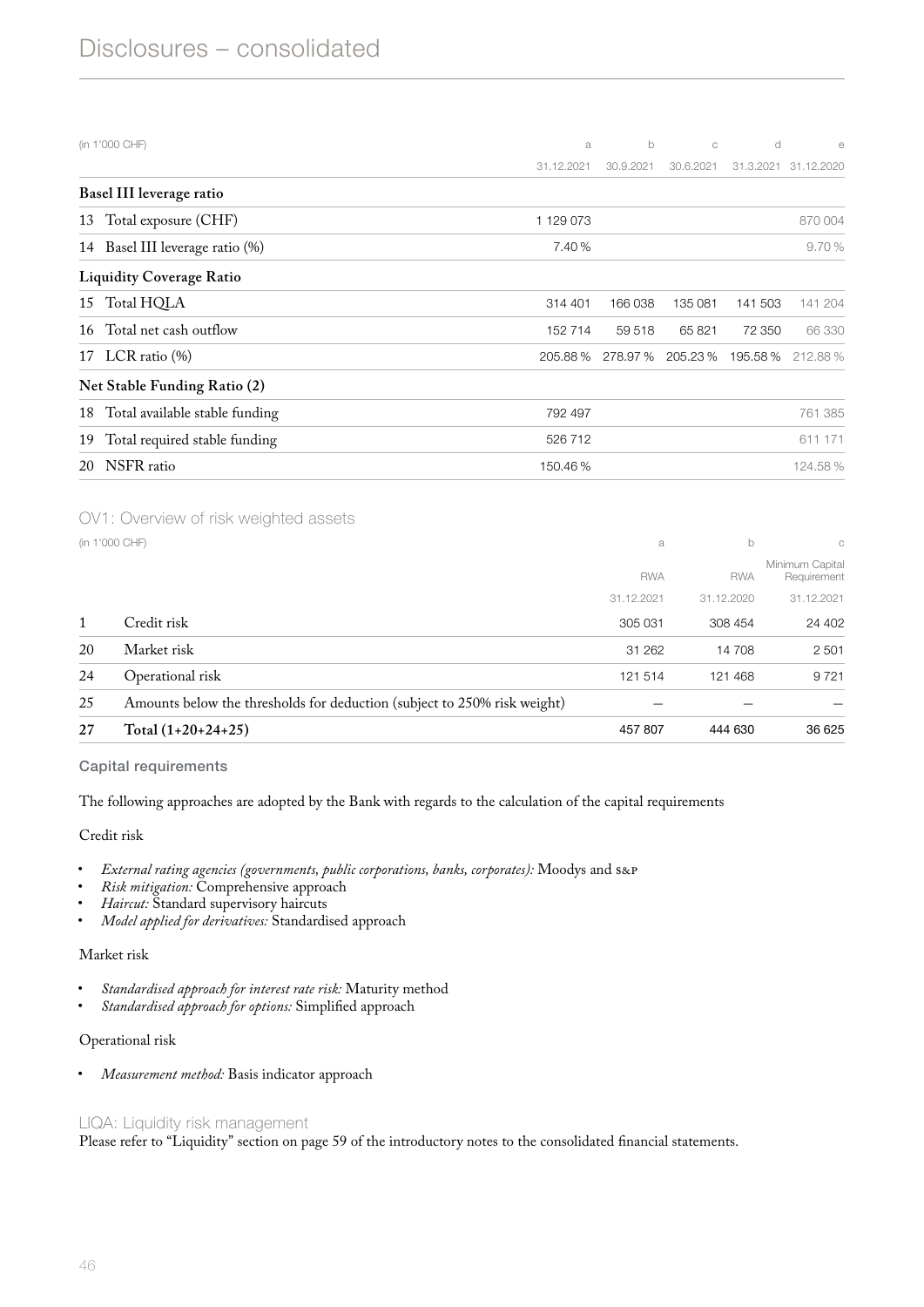| a          | b         | C         | d         | e          |
|------------|-----------|-----------|-----------|------------|
| 31.12.2021 | 30.9.2021 | 30.6.2021 | 31.3.2021 | 31.12.2020 |
|            |           |           |           |            |
| 1129073    |           |           |           | 870 004    |
| 7.40 %     |           |           |           | 9.70%      |
|            |           |           |           |            |
| 314 401    | 166 038   | 135 081   | 141 503   | 141 204    |
| 152 714    | 59 518    | 65821     | 72 350    | 66 330     |
|            | 278.97 %  | 205.23%   | 195.58%   | 212.88%    |
|            |           |           |           |            |
| 792 497    |           |           |           | 761 385    |
| 526 712    |           |           |           | 611 171    |
| 150.46%    |           |           |           | 124.58%    |
|            |           | 205.88%   |           |            |

#### OV1: Overview of risk weighted assets

|                                                                          | a              | b          | C                              |
|--------------------------------------------------------------------------|----------------|------------|--------------------------------|
|                                                                          | <b>RWA</b>     | <b>RWA</b> | Minimum Capital<br>Requirement |
|                                                                          | 31.12.2021     | 31.12.2020 | 31.12.2021                     |
| Credit risk                                                              | 305 031        | 308 454    | 24 402                         |
| Market risk                                                              | 31 262         | 14 708     | 2 5 0 1                        |
| Operational risk                                                         | 121 514        | 121 468    | 9721                           |
| Amounts below the thresholds for deduction (subject to 250% risk weight) |                |            |                                |
| $Total (1+20+24+25)$                                                     | 457 807        | 444 630    | 36 625                         |
|                                                                          | (in 1'000 CHF) |            |                                |

#### Capital requirements

The following approaches are adopted by the Bank with regards to the calculation of the capital requirements

#### Credit risk

- *External rating agencies (governments, public corporations, banks, corporates):* Moodys and S&P
- *Risk mitigation:* Comprehensive approach
- *Haircut:* Standard supervisory haircuts
- *Model applied for derivatives:* Standardised approach

#### Market risk

- *Standardised approach for interest rate risk:* Maturity method
- *Standardised approach for options:* Simplified approach

#### Operational risk

• *Measurement method:* Basis indicator approach

#### LIQA: Liquidity risk management

Please refer to "Liquidity" section on page [59](#page-0-0) of the introductory notes to the consolidated financial statements.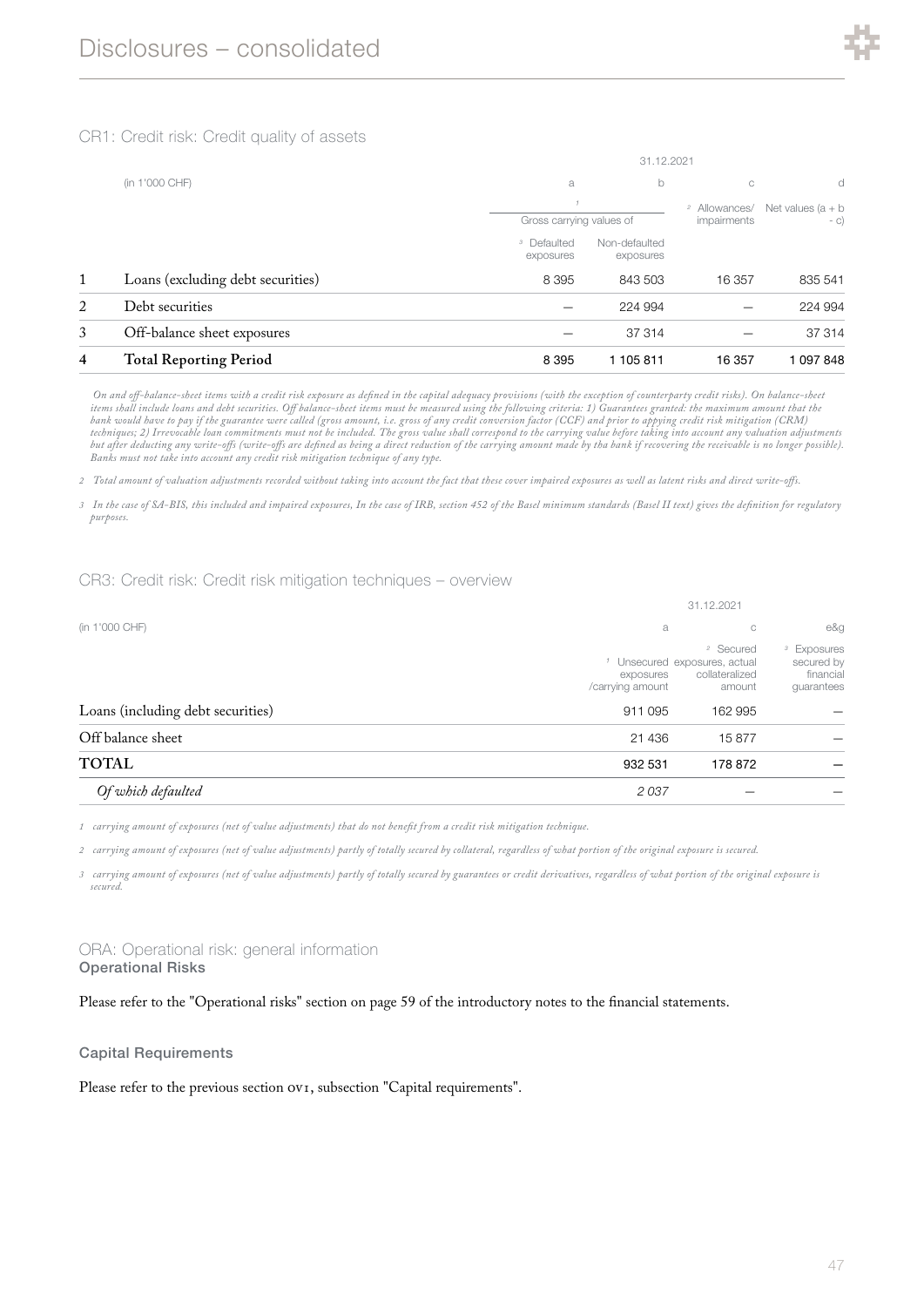

#### CR1: Credit risk: Credit quality of assets

|   |                                   | 31.12.2021                          |                            |                                         |                               |  |
|---|-----------------------------------|-------------------------------------|----------------------------|-----------------------------------------|-------------------------------|--|
|   | (in 1'000 CHF)                    | a                                   | b                          |                                         | d                             |  |
|   |                                   | Gross carrying values of            |                            | <sup>2</sup> Allowances/<br>impairments | Net values $(a + b)$<br>$- C$ |  |
|   |                                   | <sup>3</sup> Defaulted<br>exposures | Non-defaulted<br>exposures |                                         |                               |  |
| 1 | Loans (excluding debt securities) | 8 3 9 5                             | 843 503                    | 16 357                                  | 835 541                       |  |
| 2 | Debt securities                   |                                     | 224 994                    |                                         | 224 994                       |  |
| 3 | Off-balance sheet exposures       |                                     | 37 314                     |                                         | 37 314                        |  |
| 4 | <b>Total Reporting Period</b>     | 8 3 9 5                             | 1 105 811                  | 16 357                                  | 1 097 848                     |  |

*On and o!-balance-sheet items with a credit risk exposure as defined in the capital adequacy provisions (with the exception of counterparty credit risks). On balance-sheet items shall include loans and debt securities. O! balance-sheet items must be measured using the following criteria: 1) Guarantees granted: the maximum amount that the bank would have to pay if the guarantee were called (gross amount, i.e. gross of any credit conversion factor (CCF) and prior to appying credit risk mitigation (CRM) techniques; 2) Irrevocable loan commitments must not be included. The gross value shall correspond to the carrying value before taking into account any valuation adjustments but after deducting any write-o!s (write-o!s are defined as being a direct reduction of the carrying amount made by tha bank if recovering the receivable is no longer possible). Banks must not take into account any credit risk mitigation technique of any type.*

*2 Total amount of valuation adjustments recorded without taking into account the fact that these cover impaired exposures as well as latent risks and direct write-o!s.*

*3 In the case of SA-BIS, this included and impaired exposures, In the case of IRB, section 452 of the Basel minimum standards (Basel II text) gives the definition for regulatory purposes.*

#### CR3: Credit risk: Credit risk mitigation techniques – overview

|                                   | 31.12.2021                               |                                                                                                         |                                                                 |  |  |
|-----------------------------------|------------------------------------------|---------------------------------------------------------------------------------------------------------|-----------------------------------------------------------------|--|--|
| (in 1'000 CHF)                    | a                                        | C                                                                                                       | e&g                                                             |  |  |
| Loans (including debt securities) | exposures<br>/carrying amount<br>911 095 | <sup>2</sup> Secured<br><sup>1</sup> Unsecured exposures, actual<br>collateralized<br>amount<br>162 995 | <sup>3</sup> Exposures<br>secured by<br>financial<br>guarantees |  |  |
| Off balance sheet                 | 21 436                                   | 15877                                                                                                   |                                                                 |  |  |
| <b>TOTAL</b>                      | 932 531                                  | 178 872                                                                                                 |                                                                 |  |  |
| Of which defaulted                | 2037                                     |                                                                                                         |                                                                 |  |  |

*1 carrying amount of exposures (net of value adjustments) that do not benefit from a credit risk mitigation technique.*

*2 carrying amount of exposures (net of value adjustments) partly of totally secured by collateral, regardless of what portion of the original exposure is secured.*

*3 carrying amount of exposures (net of value adjustments) partly of totally secured by guarantees or credit derivatives, regardless of what portion of the original exposure is secured.*

#### ORA: Operational risk: general information Operational Risks

Please refer to the "Operational risks" section on page [59](#page-0-2) of the introductory notes to the financial statements.

#### Capital Requirements

Please refer to the previous section  $ov<sub>I</sub>$ , subsection "Capital requirements".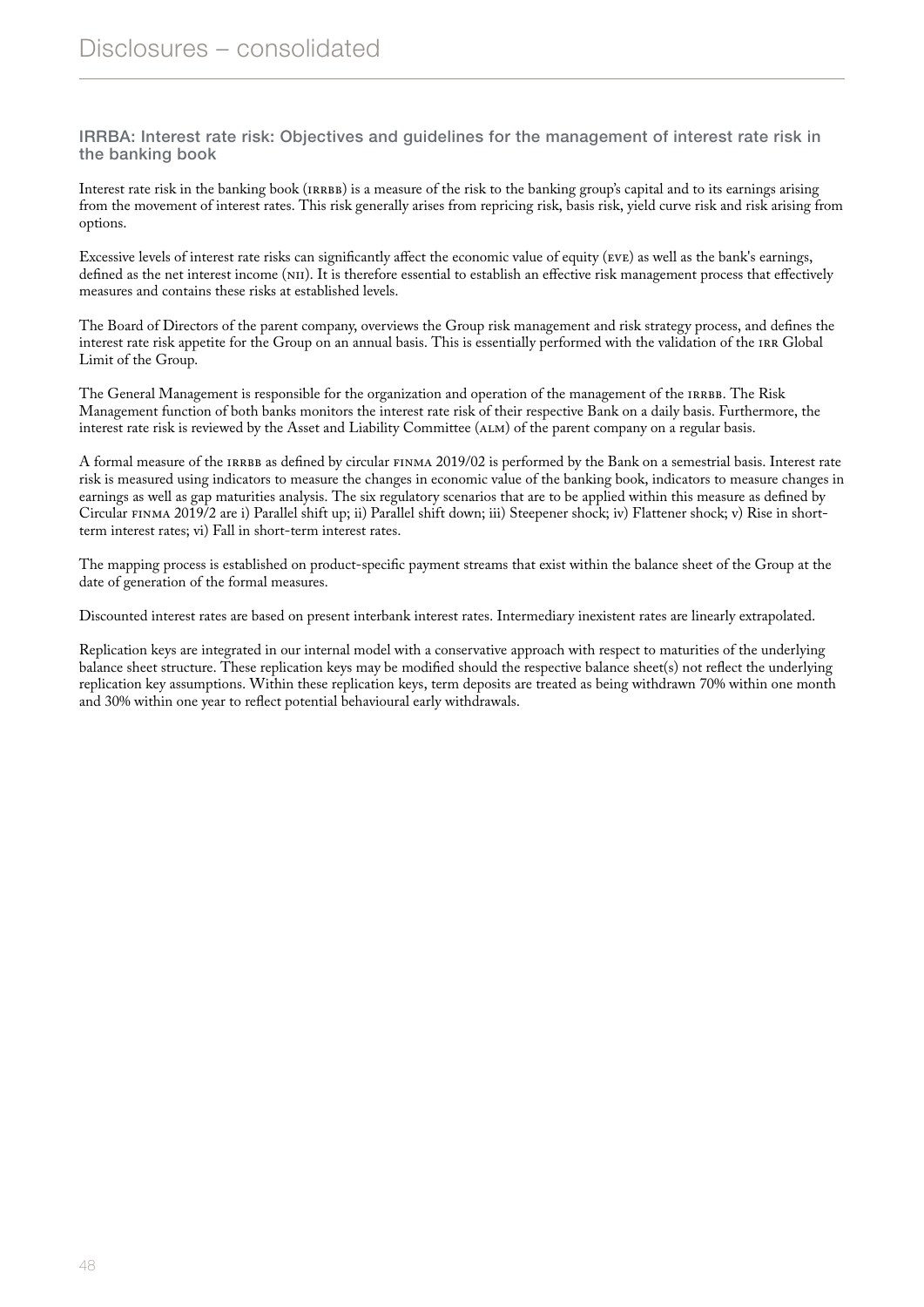IRRBA: Interest rate risk: Objectives and guidelines for the management of interest rate risk in the banking book

Interest rate risk in the banking book (IRRBB) is a measure of the risk to the banking group's capital and to its earnings arising from the movement of interest rates. This risk generally arises from repricing risk, basis risk, yield curve risk and risk arising from options.

Excessive levels of interest rate risks can significantly affect the economic value of equity (EVE) as well as the bank's earnings, defined as the net interest income (NII). It is therefore essential to establish an effective risk management process that effectively measures and contains these risks at established levels.

The Board of Directors of the parent company, overviews the Group risk management and risk strategy process, and defines the interest rate risk appetite for the Group on an annual basis. This is essentially performed with the validation of the IRR Global Limit of the Group.

The General Management is responsible for the organization and operation of the management of the IRRBB. The Risk Management function of both banks monitors the interest rate risk of their respective Bank on a daily basis. Furthermore, the interest rate risk is reviewed by the Asset and Liability Committee (ALM) of the parent company on a regular basis.

A formal measure of the IRRBB as defined by circular FINMA 2019/02 is performed by the Bank on a semestrial basis. Interest rate risk is measured using indicators to measure the changes in economic value of the banking book, indicators to measure changes in earnings as well as gap maturities analysis. The six regulatory scenarios that are to be applied within this measure as defined by Circular FINMA 2019/2 are i) Parallel shift up; ii) Parallel shift down; iii) Steepener shock; iv) Flattener shock; v) Rise in shortterm interest rates; vi) Fall in short-term interest rates.

The mapping process is established on product-specific payment streams that exist within the balance sheet of the Group at the date of generation of the formal measures.

Discounted interest rates are based on present interbank interest rates. Intermediary inexistent rates are linearly extrapolated.

Replication keys are integrated in our internal model with a conservative approach with respect to maturities of the underlying balance sheet structure. These replication keys may be modified should the respective balance sheet(s) not reflect the underlying replication key assumptions. Within these replication keys, term deposits are treated as being withdrawn 70% within one month and 30% within one year to reflect potential behavioural early withdrawals.